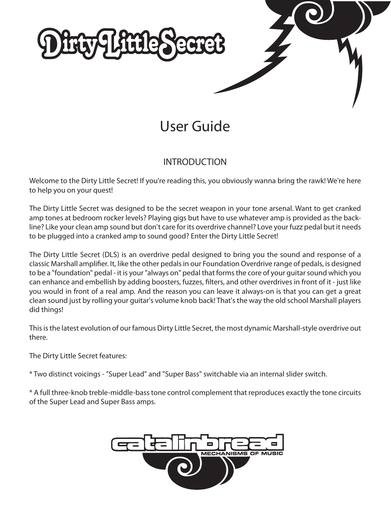

# User Guide

## INTRODUCTION

Welcome to the Dirty Little Secret! If you're reading this, you obviously wanna bring the rawk! We're here to help you on your quest!

The Dirty Little Secret was designed to be the secret weapon in your tone arsenal. Want to get cranked amp tones at bedroom rocker levels? Playing gigs but have to use whatever amp is provided as the backline? Like your clean amp sound but don't care for its overdrive channel? Love your fuzz pedal but it needs to be plugged into a cranked amp to sound good? Enter the Dirty Little Secret!

The Dirty Little Secret (DLS) is an overdrive pedal designed to bring you the sound and response of a classic Marshall amplifier. It, like the other pedals in our Foundation Overdrive range of pedals, is designed to be a "foundation" pedal - it is your "always on" pedal that forms the core of your guitar sound which you can enhance and embellish by adding boosters, fuzzes, filters, and other overdrives in front of it - just like you would in front of a real amp. And the reason you can leave it always-on is that you can get a great clean sound just by rolling your guitar's volume knob back! That's the way the old school Marshall players did things!

This is the latest evolution of our famous Dirty Little Secret, the most dynamic Marshall-style overdrive out there.

The Dirty Little Secret features:

\* Two distinct voicings - "Super Lead" and "Super Bass" switchable via an internal slider switch.

\* A full three-knob treble-middle-bass tone control complement that reproduces exactly the tone circuits of the Super Lead and Super Bass amps.

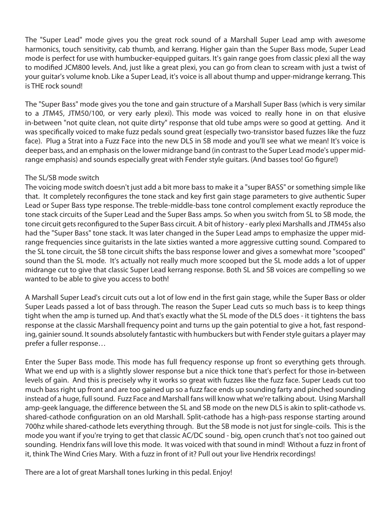The "Super Lead" mode gives you the great rock sound of a Marshall Super Lead amp with awesome harmonics, touch sensitivity, cab thumb, and kerrang. Higher gain than the Super Bass mode, Super Lead mode is perfect for use with humbucker-equipped guitars. It's gain range goes from classic plexi all the way to modified JCM800 levels. And, just like a great plexi, you can go from clean to scream with just a twist of your guitar's volume knob. Like a Super Lead, it's voice is all about thump and upper-midrange kerrang. This is THE rock sound!

The "Super Bass" mode gives you the tone and gain structure of a Marshall Super Bass (which is very similar to a JTM45, JTM50/100, or very early plexi). This mode was voiced to really hone in on that elusive in-between "not quite clean, not quite dirty" response that old tube amps were so good at getting. And it was specifically voiced to make fuzz pedals sound great (especially two-transistor based fuzzes like the fuzz face). Plug a Strat into a Fuzz Face into the new DLS in SB mode and you'll see what we mean! It's voice is deeper bass, and an emphasis on the lower midrange band (in contrast to the Super Lead mode's upper midrange emphasis) and sounds especially great with Fender style guitars. (And basses too! Go figure!)

### The SL/SB mode switch

The voicing mode switch doesn't just add a bit more bass to make it a "super BASS" or something simple like that. It completely reconfigures the tone stack and key first gain stage parameters to give authentic Super Lead or Super Bass type response. The treble-middle-bass tone control complement exactly reproduce the tone stack circuits of the Super Lead and the Super Bass amps. So when you switch from SL to SB mode, the tone circuit gets reconfigured to the Super Bass circuit. A bit of history - early plexi Marshalls and JTM45s also had the "Super Bass" tone stack. It was later changed in the Super Lead amps to emphasize the upper midrange frequencies since guitarists in the late sixties wanted a more aggressive cutting sound. Compared to the SL tone circuit, the SB tone circuit shifts the bass response lower and gives a somewhat more "scooped" sound than the SL mode. It's actually not really much more scooped but the SL mode adds a lot of upper midrange cut to give that classic Super Lead kerrang response. Both SL and SB voices are compelling so we wanted to be able to give you access to both!

A Marshall Super Lead's circuit cuts out a lot of low end in the first gain stage, while the Super Bass or older Super Leads passed a lot of bass through. The reason the Super Lead cuts so much bass is to keep things tight when the amp is turned up. And that's exactly what the SL mode of the DLS does - it tightens the bass response at the classic Marshall frequency point and turns up the gain potential to give a hot, fast responding, gainier sound. It sounds absolutely fantastic with humbuckers but with Fender style guitars a player may prefer a fuller response…

Enter the Super Bass mode. This mode has full frequency response up front so everything gets through. What we end up with is a slightly slower response but a nice thick tone that's perfect for those in-between levels of gain. And this is precisely why it works so great with fuzzes like the fuzz face. Super Leads cut too much bass right up front and are too gained up so a fuzz face ends up sounding farty and pinched sounding instead of a huge, full sound. Fuzz Face and Marshall fans will know what we're talking about. Using Marshall amp-geek language, the difference between the SL and SB mode on the new DLS is akin to split-cathode vs. shared-cathode configuration on an old Marshall. Split-cathode has a high-pass response starting around 700hz while shared-cathode lets everything through. But the SB mode is not just for single-coils. This is the mode you want if you're trying to get that classic AC/DC sound - big, open crunch that's not too gained out sounding. Hendrix fans will love this mode. It was voiced with that sound in mind! Without a fuzz in front of it, think The Wind Cries Mary. With a fuzz in front of it? Pull out your live Hendrix recordings!

There are a lot of great Marshall tones lurking in this pedal. Enjoy!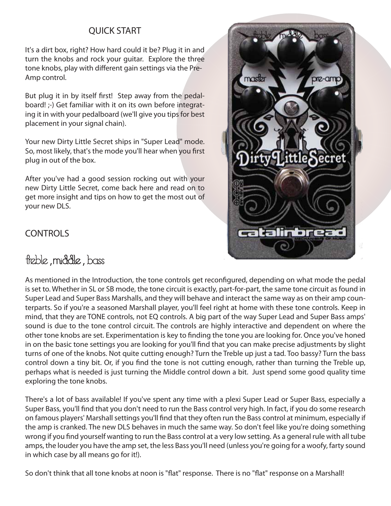## QUICK START

It's a dirt box, right? How hard could it be? Plug it in and turn the knobs and rock your guitar. Explore the three tone knobs, play with different gain settings via the Pre-Amp control.

But plug it in by itself first! Step away from the pedalboard! ;-) Get familiar with it on its own before integrating it in with your pedalboard (we'll give you tips for best placement in your signal chain).

Your new Dirty Little Secret ships in "Super Lead" mode. So, most likely, that's the mode you'll hear when you first plug in out of the box.

After you've had a good session rocking out with your new Dirty Little Secret, come back here and read on to get more insight and tips on how to get the most out of your new DLS.

## **CONTROLS**

## treble, middle, bass



As mentioned in the Introduction, the tone controls get reconfigured, depending on what mode the pedal is set to. Whether in SL or SB mode, the tone circuit is exactly, part-for-part, the same tone circuit as found in Super Lead and Super Bass Marshalls, and they will behave and interact the same way as on their amp counterparts. So if you're a seasoned Marshall player, you'll feel right at home with these tone controls. Keep in mind, that they are TONE controls, not EQ controls. A big part of the way Super Lead and Super Bass amps' sound is due to the tone control circuit. The controls are highly interactive and dependent on where the other tone knobs are set. Experimentation is key to finding the tone you are looking for. Once you've honed in on the basic tone settings you are looking for you'll find that you can make precise adjustments by slight turns of one of the knobs. Not quite cutting enough? Turn the Treble up just a tad. Too bassy? Turn the bass control down a tiny bit. Or, if you find the tone is not cutting enough, rather than turning the Treble up, perhaps what is needed is just turning the Middle control down a bit. Just spend some good quality time exploring the tone knobs.

There's a lot of bass available! If you've spent any time with a plexi Super Lead or Super Bass, especially a Super Bass, you'll find that you don't need to run the Bass control very high. In fact, if you do some research on famous players' Marshall settings you'll find that they often run the Bass control at minimum, especially if the amp is cranked. The new DLS behaves in much the same way. So don't feel like you're doing something wrong if you find yourself wanting to run the Bass control at a very low setting. As a general rule with all tube amps, the louder you have the amp set, the less Bass you'll need (unless you're going for a woofy, farty sound in which case by all means go for it!).

So don't think that all tone knobs at noon is "flat" response. There is no "flat" response on a Marshall!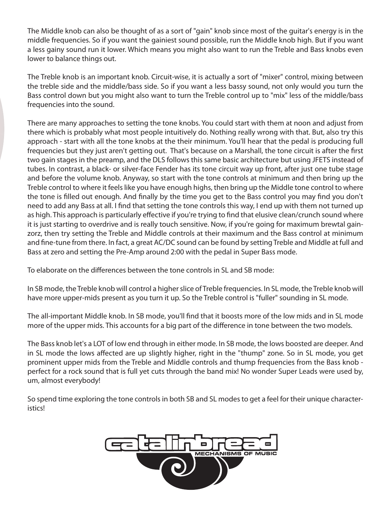The Middle knob can also be thought of as a sort of "gain" knob since most of the guitar's energy is in the middle frequencies. So if you want the gainiest sound possible, run the Middle knob high. But if you want a less gainy sound run it lower. Which means you might also want to run the Treble and Bass knobs even lower to balance things out.

The Treble knob is an important knob. Circuit-wise, it is actually a sort of "mixer" control, mixing between the treble side and the middle/bass side. So if you want a less bassy sound, not only would you turn the Bass control down but you might also want to turn the Treble control up to "mix" less of the middle/bass frequencies into the sound.

There are many approaches to setting the tone knobs. You could start with them at noon and adjust from there which is probably what most people intuitively do. Nothing really wrong with that. But, also try this approach - start with all the tone knobs at the their minimum. You'll hear that the pedal is producing full frequencies but they just aren't getting out. That's because on a Marshall, the tone circuit is after the first two gain stages in the preamp, and the DLS follows this same basic architecture but using JFETS instead of tubes. In contrast, a black- or silver-face Fender has its tone circuit way up front, after just one tube stage and before the volume knob. Anyway, so start with the tone controls at minimum and then bring up the Treble control to where it feels like you have enough highs, then bring up the Middle tone control to where the tone is filled out enough. And finally by the time you get to the Bass control you may find you don't need to add any Bass at all. I find that setting the tone controls this way, I end up with them not turned up as high. This approach is particularly effective if you're trying to find that elusive clean/crunch sound where it is just starting to overdrive and is really touch sensitive. Now, if you're going for maximum brewtal gainzorz, then try setting the Treble and Middle controls at their maximum and the Bass control at minimum and fine-tune from there. In fact, a great AC/DC sound can be found by setting Treble and Middle at full and Bass at zero and setting the Pre-Amp around 2:00 with the pedal in Super Bass mode.

To elaborate on the differences between the tone controls in SL and SB mode:

In SB mode, the Treble knob will control a higher slice of Treble frequencies. In SL mode, the Treble knob will have more upper-mids present as you turn it up. So the Treble control is "fuller" sounding in SL mode.

The all-important Middle knob. In SB mode, you'll find that it boosts more of the low mids and in SL mode more of the upper mids. This accounts for a big part of the difference in tone between the two models.

The Bass knob let's a LOT of low end through in either mode. In SB mode, the lows boosted are deeper. And in SL mode the lows affected are up slightly higher, right in the "thump" zone. So in SL mode, you get prominent upper mids from the Treble and Middle controls and thump frequencies from the Bass knob perfect for a rock sound that is full yet cuts through the band mix! No wonder Super Leads were used by, um, almost everybody!

So spend time exploring the tone controls in both SB and SL modes to get a feel for their unique characteristics!

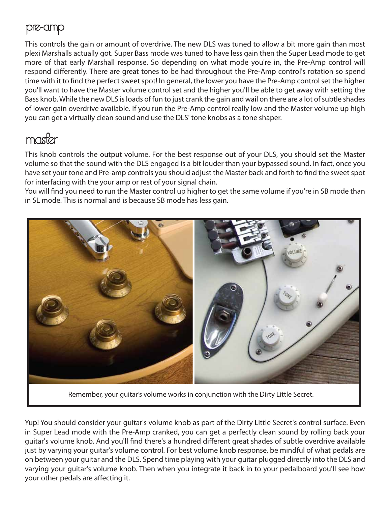## pre-amp

This controls the gain or amount of overdrive. The new DLS was tuned to allow a bit more gain than most plexi Marshalls actually got. Super Bass mode was tuned to have less gain then the Super Lead mode to get more of that early Marshall response. So depending on what mode you're in, the Pre-Amp control will respond differently. There are great tones to be had throughout the Pre-Amp control's rotation so spend time with it to find the perfect sweet spot! In general, the lower you have the Pre-Amp control set the higher you'll want to have the Master volume control set and the higher you'll be able to get away with setting the Bass knob. While the new DLS is loads of fun to just crank the gain and wail on there are a lot of subtle shades of lower gain overdrive available. If you run the Pre-Amp control really low and the Master volume up high you can get a virtually clean sound and use the DLS' tone knobs as a tone shaper.

# master

This knob controls the output volume. For the best response out of your DLS, you should set the Master volume so that the sound with the DLS engaged is a bit louder than your bypassed sound. In fact, once you have set your tone and Pre-amp controls you should adjust the Master back and forth to find the sweet spot for interfacing with the your amp or rest of your signal chain.

You will find you need to run the Master control up higher to get the same volume if you're in SB mode than in SL mode. This is normal and is because SB mode has less gain.



Remember, your guitar's volume works in conjunction with the Dirty Little Secret.

Yup! You should consider your guitar's volume knob as part of the Dirty Little Secret's control surface. Even in Super Lead mode with the Pre-Amp cranked, you can get a perfectly clean sound by rolling back your guitar's volume knob. And you'll find there's a hundred different great shades of subtle overdrive available just by varying your guitar's volume control. For best volume knob response, be mindful of what pedals are on between your guitar and the DLS. Spend time playing with your guitar plugged directly into the DLS and varying your guitar's volume knob. Then when you integrate it back in to your pedalboard you'll see how your other pedals are affecting it.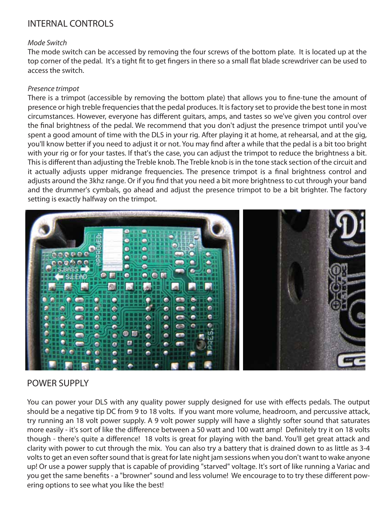## INTERNAL CONTROLS

#### *Mode Switch*

The mode switch can be accessed by removing the four screws of the bottom plate. It is located up at the top corner of the pedal. It's a tight fit to get fingers in there so a small flat blade screwdriver can be used to access the switch.

#### *Presence trimpot*

There is a trimpot (accessible by removing the bottom plate) that allows you to fine-tune the amount of presence or high treble frequencies that the pedal produces. It is factory set to provide the best tone in most circumstances. However, everyone has different guitars, amps, and tastes so we've given you control over the final brightness of the pedal. We recommend that you don't adjust the presence trimpot until you've spent a good amount of time with the DLS in your rig. After playing it at home, at rehearsal, and at the gig, you'll know better if you need to adjust it or not. You may find after a while that the pedal is a bit too bright with your rig or for your tastes. If that's the case, you can adjust the trimpot to reduce the brightness a bit. This is different than adjusting the Treble knob. The Treble knob is in the tone stack section of the circuit and it actually adjusts upper midrange frequencies. The presence trimpot is a final brightness control and adjusts around the 3khz range. Or if you find that you need a bit more brightness to cut through your band and the drummer's cymbals, go ahead and adjust the presence trimpot to be a bit brighter. The factory setting is exactly halfway on the trimpot.



## POWER SUPPLY

You can power your DLS with any quality power supply designed for use with effects pedals. The output should be a negative tip DC from 9 to 18 volts. If you want more volume, headroom, and percussive attack, try running an 18 volt power supply. A 9 volt power supply will have a slightly softer sound that saturates more easily - it's sort of like the difference between a 50 watt and 100 watt amp! Definitely try it on 18 volts though - there's quite a difference! 18 volts is great for playing with the band. You'll get great attack and clarity with power to cut through the mix. You can also try a battery that is drained down to as little as 3-4 volts to get an even softer sound that is great for late night jam sessions when you don't want to wake anyone up! Or use a power supply that is capable of providing "starved" voltage. It's sort of like running a Variac and you get the same benefits - a "browner" sound and less volume! We encourage to to try these different powering options to see what you like the best!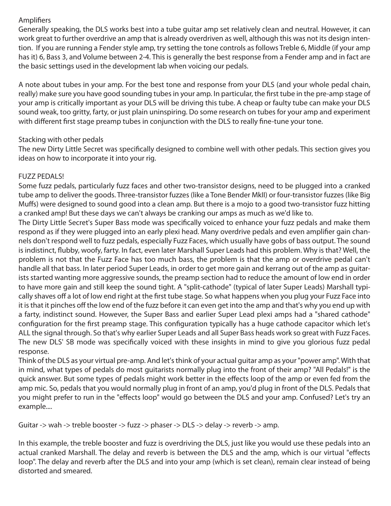## Amplifiers

Generally speaking, the DLS works best into a tube guitar amp set relatively clean and neutral. However, it can work great to further overdrive an amp that is already overdriven as well, although this was not its design intention. If you are running a Fender style amp, try setting the tone controls as follows Treble 6, Middle (if your amp has it) 6, Bass 3, and Volume between 2-4. This is generally the best response from a Fender amp and in fact are the basic settings used in the development lab when voicing our pedals.

A note about tubes in your amp. For the best tone and response from your DLS (and your whole pedal chain, really) make sure you have good sounding tubes in your amp. In particular, the first tube in the pre-amp stage of your amp is critically important as your DLS will be driving this tube. A cheap or faulty tube can make your DLS sound weak, too gritty, farty, or just plain uninspiring. Do some research on tubes for your amp and experiment with different first stage preamp tubes in conjunction with the DLS to really fine-tune your tone.

### Stacking with other pedals

The new Dirty Little Secret was specifically designed to combine well with other pedals. This section gives you ideas on how to incorporate it into your rig.

### FUZZ PEDALS!

Some fuzz pedals, particularly fuzz faces and other two-transistor designs, need to be plugged into a cranked tube amp to deliver the goods. Three-transistor fuzzes (like a Tone Bender MkII) or four-transistor fuzzes (like Big Muffs) were designed to sound good into a clean amp. But there is a mojo to a good two-transistor fuzz hitting a cranked amp! But these days we can't always be cranking our amps as much as we'd like to.

The Dirty Little Secret's Super Bass mode was specifically voiced to enhance your fuzz pedals and make them respond as if they were plugged into an early plexi head. Many overdrive pedals and even amplifier gain channels don't respond well to fuzz pedals, especially Fuzz Faces, which usually have gobs of bass output. The sound is indistinct, flubby, woofy, farty. In fact, even later Marshall Super Leads had this problem. Why is that? Well, the problem is not that the Fuzz Face has too much bass, the problem is that the amp or overdrive pedal can't handle all that bass. In later period Super Leads, in order to get more gain and kerrang out of the amp as guitarists started wanting more aggressive sounds, the preamp section had to reduce the amount of low end in order to have more gain and still keep the sound tight. A "split-cathode" (typical of later Super Leads) Marshall typically shaves off a lot of low end right at the first tube stage. So what happens when you plug your Fuzz Face into it is that it pinches off the low end of the fuzz before it can even get into the amp and that's why you end up with a farty, indistinct sound. However, the Super Bass and earlier Super Lead plexi amps had a "shared cathode" configuration for the first preamp stage. This configuration typically has a huge cathode capacitor which let's ALL the signal through. So that's why earlier Super Leads and all Super Bass heads work so great with Fuzz Faces. The new DLS' SB mode was specifically voiced with these insights in mind to give you glorious fuzz pedal response.

Think of the DLS as your virtual pre-amp. And let's think of your actual guitar amp as your "power amp". With that in mind, what types of pedals do most guitarists normally plug into the front of their amp? "All Pedals!" is the quick answer. But some types of pedals might work better in the effects loop of the amp or even fed from the amp mic. So, pedals that you would normally plug in front of an amp, you'd plug in front of the DLS. Pedals that you might prefer to run in the "effects loop" would go between the DLS and your amp. Confused? Let's try an example....

Guitar -> wah -> treble booster -> fuzz -> phaser -> DLS -> delay -> reverb -> amp.

In this example, the treble booster and fuzz is overdriving the DLS, just like you would use these pedals into an actual cranked Marshall. The delay and reverb is between the DLS and the amp, which is our virtual "effects loop". The delay and reverb after the DLS and into your amp (which is set clean), remain clear instead of being distorted and smeared.